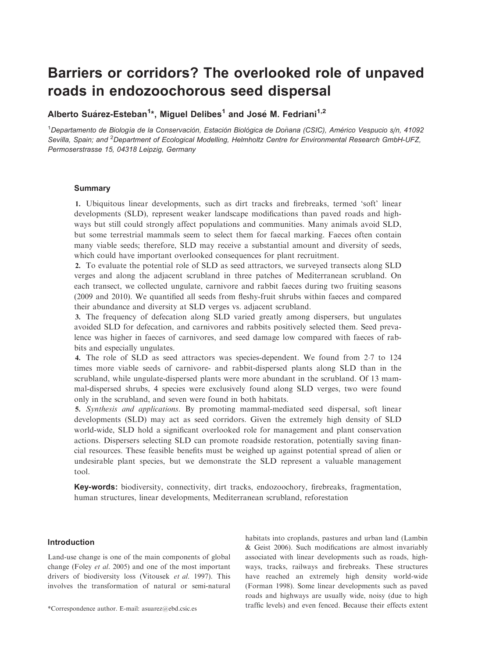# Barriers or corridors? The overlooked role of unpaved roads in endozoochorous seed dispersal

## Alberto Suárez-Esteban<sup>1</sup>\*, Miguel Delibes<sup>1</sup> and José M. Fedriani<sup>1,2</sup>

1Departamento de Biología de la Conservación, Estación Biológica de Doñana (CSIC), Américo Vespucio s/n, 41092 Sevilla, Spain; and <sup>2</sup>Department of Ecological Modelling, Helmholtz Centre for Environmental Research GmbH-UFZ, Permoserstrasse 15, 04318 Leipzig, Germany

## Summary

1. Ubiquitous linear developments, such as dirt tracks and firebreaks, termed 'soft' linear developments (SLD), represent weaker landscape modifications than paved roads and highways but still could strongly affect populations and communities. Many animals avoid SLD, but some terrestrial mammals seem to select them for faecal marking. Faeces often contain many viable seeds; therefore, SLD may receive a substantial amount and diversity of seeds, which could have important overlooked consequences for plant recruitment.

2. To evaluate the potential role of SLD as seed attractors, we surveyed transects along SLD verges and along the adjacent scrubland in three patches of Mediterranean scrubland. On each transect, we collected ungulate, carnivore and rabbit faeces during two fruiting seasons (2009 and 2010). We quantified all seeds from fleshy-fruit shrubs within faeces and compared their abundance and diversity at SLD verges vs. adjacent scrubland.

3. The frequency of defecation along SLD varied greatly among dispersers, but ungulates avoided SLD for defecation, and carnivores and rabbits positively selected them. Seed prevalence was higher in faeces of carnivores, and seed damage low compared with faeces of rabbits and especially ungulates.

4. The role of SLD as seed attractors was species-dependent. We found from <sup>2</sup><sup>7</sup> to <sup>124</sup> times more viable seeds of carnivore- and rabbit-dispersed plants along SLD than in the scrubland, while ungulate-dispersed plants were more abundant in the scrubland. Of 13 mammal-dispersed shrubs, 4 species were exclusively found along SLD verges, two were found only in the scrubland, and seven were found in both habitats.

5. Synthesis and applications. By promoting mammal-mediated seed dispersal, soft linear developments (SLD) may act as seed corridors. Given the extremely high density of SLD world-wide, SLD hold a significant overlooked role for management and plant conservation actions. Dispersers selecting SLD can promote roadside restoration, potentially saving financial resources. These feasible benefits must be weighed up against potential spread of alien or undesirable plant species, but we demonstrate the SLD represent a valuable management tool.

Key-words: biodiversity, connectivity, dirt tracks, endozoochory, firebreaks, fragmentation, human structures, linear developments, Mediterranean scrubland, reforestation

## Introduction

Land-use change is one of the main components of global change (Foley et al. 2005) and one of the most important drivers of biodiversity loss (Vitousek et al. 1997). This involves the transformation of natural or semi-natural

habitats into croplands, pastures and urban land (Lambin & Geist 2006). Such modifications are almost invariably associated with linear developments such as roads, highways, tracks, railways and firebreaks. These structures have reached an extremely high density world-wide (Forman 1998). Some linear developments such as paved roads and highways are usually wide, noisy (due to high traffic levels) and even fenced. Because their effects extent \*Correspondence author. E-mail: asuarez@ebd.csic.es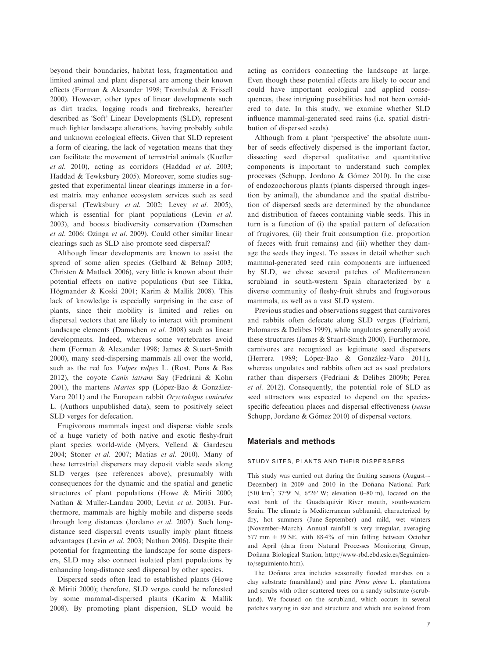beyond their boundaries, habitat loss, fragmentation and limited animal and plant dispersal are among their known effects (Forman & Alexander 1998; Trombulak & Frissell 2000). However, other types of linear developments such as dirt tracks, logging roads and firebreaks, hereafter described as 'Soft' Linear Developments (SLD), represent much lighter landscape alterations, having probably subtle and unknown ecological effects. Given that SLD represent a form of clearing, the lack of vegetation means that they can facilitate the movement of terrestrial animals (Kuefler et al. 2010), acting as corridors (Haddad et al. 2003; Haddad & Tewksbury 2005). Moreover, some studies suggested that experimental linear clearings immerse in a forest matrix may enhance ecosystem services such as seed dispersal (Tewksbury et al. 2002; Levey et al. 2005), which is essential for plant populations (Levin et al. 2003), and boosts biodiversity conservation (Damschen et al. 2006; Ozinga et al. 2009). Could other similar linear clearings such as SLD also promote seed dispersal?

Although linear developments are known to assist the spread of some alien species (Gelbard & Belnap 2003; Christen & Matlack 2006), very little is known about their potential effects on native populations (but see Tikka, Högmander & Koski 2001; Karim & Mallik 2008). This lack of knowledge is especially surprising in the case of plants, since their mobility is limited and relies on dispersal vectors that are likely to interact with prominent landscape elements (Damschen et al. 2008) such as linear developments. Indeed, whereas some vertebrates avoid them (Forman & Alexander 1998; James & Stuart-Smith 2000), many seed-dispersing mammals all over the world, such as the red fox Vulpes vulpes L. (Rost, Pons & Bas 2012), the coyote Canis latrans Say (Fedriani & Kohn 2001), the martens *Martes* spp (López-Bao & González-Varo 2011) and the European rabbit Oryctolagus cuniculus L. (Authors unpublished data), seem to positively select SLD verges for defecation.

Frugivorous mammals ingest and disperse viable seeds of a huge variety of both native and exotic fleshy-fruit plant species world-wide (Myers, Vellend & Gardescu 2004; Stoner et al. 2007; Matias et al. 2010). Many of these terrestrial dispersers may deposit viable seeds along SLD verges (see references above), presumably with consequences for the dynamic and the spatial and genetic structures of plant populations (Howe & Miriti 2000; Nathan & Muller-Landau 2000; Levin et al. 2003). Furthermore, mammals are highly mobile and disperse seeds through long distances (Jordano et al. 2007). Such longdistance seed dispersal events usually imply plant fitness advantages (Levin et al. 2003; Nathan 2006). Despite their potential for fragmenting the landscape for some dispersers, SLD may also connect isolated plant populations by enhancing long-distance seed dispersal by other species.

Dispersed seeds often lead to established plants (Howe & Miriti 2000); therefore, SLD verges could be reforested by some mammal-dispersed plants (Karim & Mallik 2008). By promoting plant dispersion, SLD would be acting as corridors connecting the landscape at large. Even though these potential effects are likely to occur and could have important ecological and applied consequences, these intriguing possibilities had not been considered to date. In this study, we examine whether SLD influence mammal-generated seed rains (i.e. spatial distribution of dispersed seeds).

Although from a plant 'perspective' the absolute number of seeds effectively dispersed is the important factor, dissecting seed dispersal qualitative and quantitative components is important to understand such complex processes (Schupp, Jordano & Gómez 2010). In the case of endozoochorous plants (plants dispersed through ingestion by animal), the abundance and the spatial distribution of dispersed seeds are determined by the abundance and distribution of faeces containing viable seeds. This in turn is a function of (i) the spatial pattern of defecation of frugivores, (ii) their fruit consumption (i.e. proportion of faeces with fruit remains) and (iii) whether they damage the seeds they ingest. To assess in detail whether such mammal-generated seed rain components are influenced by SLD, we chose several patches of Mediterranean scrubland in south-western Spain characterized by a diverse community of fleshy-fruit shrubs and frugivorous mammals, as well as a vast SLD system.

Previous studies and observations suggest that carnivores and rabbits often defecate along SLD verges (Fedriani, Palomares & Delibes 1999), while ungulates generally avoid these structures (James & Stuart-Smith 2000). Furthermore, carnivores are recognized as legitimate seed dispersers (Herrera 1989; López-Bao & González-Varo 2011), whereas ungulates and rabbits often act as seed predators rather than dispersers (Fedriani & Delibes 2009b; Perea et al. 2012). Consequently, the potential role of SLD as seed attractors was expected to depend on the speciesspecific defecation places and dispersal effectiveness (sensu Schupp, Jordano & Gómez 2010) of dispersal vectors.

## Materials and methods

#### STUDY SITES, PLANTS AND THEIR DISPERSERS

This study was carried out during the fruiting seasons (August–- December) in 2009 and 2010 in the Doñana National Park (510 km2 ; 37°9′ N, 6°26′ W; elevation 0–80 m), located on the west bank of the Guadalquivir River mouth, south-western Spain. The climate is Mediterranean subhumid, characterized by dry, hot summers (June–September) and mild, wet winters (November–March). Annual rainfall is very irregular, averaging 577 mm  $\pm$  39 SE, with 88.4% of rain falling between October and April (data from Natural Processes Monitoring Group, Doñana Biological Station, http://www-rbd.ebd.csic.es/Seguimiento/seguimiento.htm).

The Doñana area includes seasonally flooded marshes on a clay substrate (marshland) and pine Pinus pinea L. plantations and scrubs with other scattered trees on a sandy substrate (scrubland). We focused on the scrubland, which occurs in several patches varying in size and structure and which are isolated from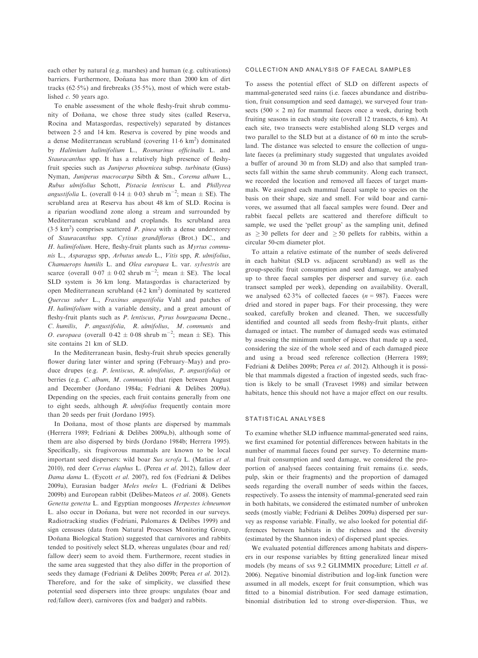each other by natural (e.g. marshes) and human (e.g. cultivations) barriers. Furthermore, Doñana has more than 2000 km of dirt tracks (62.5%) and firebreaks (35.5%), most of which were established  $c$ . 50 years ago.

To enable assessment of the whole fleshy-fruit shrub community of Doñana, we chose three study sites (called Reserva, Rocina and Matasgordas, respectively) separated by distances between 25 and 14 km. Reserva is covered by pine woods and a dense Mediterranean scrubland (covering  $11.6 \text{ km}^2$ ) dominated by Halimium halimifolium L., Rosmarinus officinalis L. and Stauracanthus spp. It has a relatively high presence of fleshyfruit species such as Juniperus phoenicea subsp. turbinata (Guss) Nyman, Juniperus macrocarpa Sibth & Sm., Corema album L., Rubus ulmifolius Schott, Pistacia lentiscus L. and Phillyrea *angustifolia* L. (overall  $0.14 \pm 0.03$  shrub m<sup>-2</sup>; mean  $\pm$  SE). The scrubland area at Reserva has about 48 km of SLD. Rocina is a riparian woodland zone along a stream and surrounded by Mediterranean scrubland and croplands. Its scrubland area  $(3.5 \text{ km}^2)$  comprises scattered *P. pinea* with a dense understorey of Stauracanthus spp. Cytisus grandiflorus (Brot.) DC., and H. halimifolium. Here, fleshy-fruit plants such as Myrtus communis L., Asparagus spp, Arbutus unedo L., Vitis spp, R. ulmifolius, Chamaerops humilis L. and Olea europaea L. var. sylvestris are scarce (overall  $0.07 \pm 0.02$  shrub m<sup>-2</sup>; mean  $\pm$  SE). The local SLD system is 36 km long. Matasgordas is characterized by open Mediterranean scrubland  $(4.2 \text{ km}^2)$  dominated by scattered Quercus suber L., Fraxinus angustifolia Vahl and patches of H. halimifolium with a variable density, and a great amount of fleshy-fruit plants such as P. lentiscus, Pyrus bourgaeana Decne., C. humilis, P. angustifolia, R. ulmifolius, M. communis and *O. europaea* (overall  $0.42 \pm 0.08$  shrub m<sup>-2</sup>; mean  $\pm$  SE). This site contains 21 km of SLD.

In the Mediterranean basin, fleshy-fruit shrub species generally flower during later winter and spring (February–May) and produce drupes (e.g. P. lentiscus, R. ulmifolius, P. angustifolia) or berries (e.g. C. album, M. communis) that ripen between August and December (Jordano 1984a; Fedriani & Delibes 2009a). Depending on the species, each fruit contains generally from one to eight seeds, although R. ulmifolius frequently contain more than 20 seeds per fruit (Jordano 1995).

In Doñana, most of those plants are dispersed by mammals (Herrera 1989; Fedriani & Delibes 2009a,b), although some of them are also dispersed by birds (Jordano 1984b; Herrera 1995). Specifically, six frugivorous mammals are known to be local important seed dispersers: wild boar Sus scrofa L. (Matias et al. 2010), red deer Cervus elaphus L. (Perea et al. 2012), fallow deer Dama dama L. (Eycott et al. 2007), red fox (Fedriani & Delibes 2009a), Eurasian badger Meles meles L. (Fedriani & Delibes 2009b) and European rabbit (Delibes-Mateos et al. 2008). Genets Genetta genetta L. and Egyptian mongooses Herpestes ichneumon L. also occur in Doñana, but were not recorded in our surveys. Radiotracking studies (Fedriani, Palomares & Delibes 1999) and sign censuses (data from Natural Processes Monitoring Group, Doñana Biological Station) suggested that carnivores and rabbits tended to positively select SLD, whereas ungulates (boar and red/ fallow deer) seem to avoid them. Furthermore, recent studies in the same area suggested that they also differ in the proportion of seeds they damage (Fedriani & Delibes 2009b; Perea et al. 2012). Therefore, and for the sake of simplicity, we classified these potential seed dispersers into three groups: ungulates (boar and red/fallow deer), carnivores (fox and badger) and rabbits.

#### COLLECTION AND ANALYSIS OF FAECAL SAMPLES

To assess the potential effect of SLD on different aspects of mammal-generated seed rains (i.e. faeces abundance and distribution, fruit consumption and seed damage), we surveyed four transects (500  $\times$  2 m) for mammal faeces once a week, during both fruiting seasons in each study site (overall 12 transects, 6 km). At each site, two transects were established along SLD verges and two parallel to the SLD but at a distance of 60 m into the scrubland. The distance was selected to ensure the collection of ungulate faeces (a preliminary study suggested that ungulates avoided a buffer of around 30 m from SLD) and also that sampled transects fall within the same shrub community. Along each transect, we recorded the location and removed all faeces of target mammals. We assigned each mammal faecal sample to species on the basis on their shape, size and smell. For wild boar and carnivores, we assumed that all faecal samples were found. Deer and rabbit faecal pellets are scattered and therefore difficult to sample, we used the 'pellet group' as the sampling unit, defined as  $\geq$  30 pellets for deer and  $\geq$  50 pellets for rabbits, within a circular 50-cm diameter plot.

To attain a relative estimate of the number of seeds delivered in each habitat (SLD vs. adjacent scrubland) as well as the group-specific fruit consumption and seed damage, we analysed up to three faecal samples per disperser and survey (i.e. each transect sampled per week), depending on availability. Overall, we analysed  $62.3\%$  of collected faeces ( $n = 987$ ). Faeces were dried and stored in paper bags. For their processing, they were soaked, carefully broken and cleaned. Then, we successfully identified and counted all seeds from fleshy-fruit plants, either damaged or intact. The number of damaged seeds was estimated by assessing the minimum number of pieces that made up a seed, considering the size of the whole seed and of each damaged piece and using a broad seed reference collection (Herrera 1989; Fedriani & Delibes 2009b; Perea et al. 2012). Although it is possible that mammals digested a fraction of ingested seeds, such fraction is likely to be small (Traveset 1998) and similar between habitats, hence this should not have a major effect on our results.

#### STATISTICAL ANALYSES

To examine whether SLD influence mammal-generated seed rains, we first examined for potential differences between habitats in the number of mammal faeces found per survey. To determine mammal fruit consumption and seed damage, we considered the proportion of analysed faeces containing fruit remains (i.e. seeds, pulp, skin or their fragments) and the proportion of damaged seeds regarding the overall number of seeds within the faeces, respectively. To assess the intensity of mammal-generated seed rain in both habitats, we considered the estimated number of unbroken seeds (mostly viable; Fedriani & Delibes 2009a) dispersed per survey as response variable. Finally, we also looked for potential differences between habitats in the richness and the diversity (estimated by the Shannon index) of dispersed plant species.

We evaluated potential differences among habitats and dispersers in our response variables by fitting generalized linear mixed models (by means of SAS 9.2 GLIMMIX procedure; Littell et al. 2006). Negative binomial distribution and log-link function were assumed in all models, except for fruit consumption, which was fitted to a binomial distribution. For seed damage estimation, binomial distribution led to strong over-dispersion. Thus, we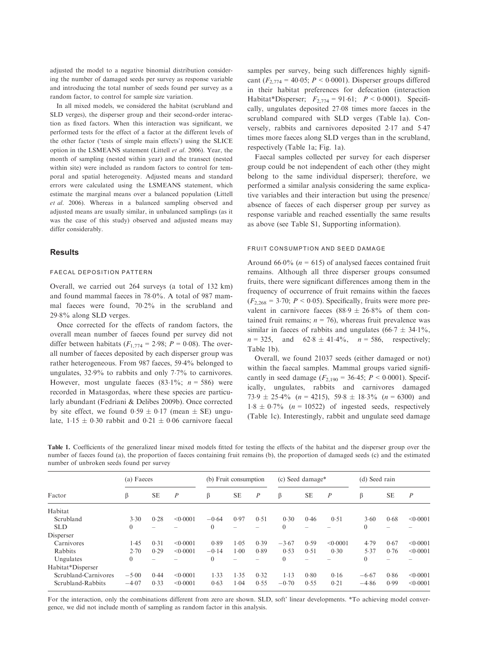adjusted the model to a negative binomial distribution considering the number of damaged seeds per survey as response variable and introducing the total number of seeds found per survey as a random factor, to control for sample size variation.

In all mixed models, we considered the habitat (scrubland and SLD verges), the disperser group and their second-order interaction as fixed factors. When this interaction was significant, we performed tests for the effect of a factor at the different levels of the other factor ('tests of simple main effects') using the SLICE option in the LSMEANS statement (Littell et al. 2006). Year, the month of sampling (nested within year) and the transect (nested within site) were included as random factors to control for temporal and spatial heterogeneity. Adjusted means and standard errors were calculated using the LSMEANS statement, which estimate the marginal means over a balanced population (Littell et al. 2006). Whereas in a balanced sampling observed and adjusted means are usually similar, in unbalanced samplings (as it was the case of this study) observed and adjusted means may differ considerably.

### **Results**

#### FAECAL DEPOSITION PATTERN

Overall, we carried out 264 surveys (a total of 132 km) and found mammal faeces in 780%. A total of 987 mammal faeces were found, 702% in the scrubland and 298% along SLD verges.

Once corrected for the effects of random factors, the overall mean number of faeces found per survey did not differ between habitats ( $F_{1,774} = 2.98$ ;  $P = 0.08$ ). The overall number of faeces deposited by each disperser group was rather heterogeneous. From 987 faeces, 594% belonged to ungulates,  $32.9\%$  to rabbits and only  $7.7\%$  to carnivores. However, most ungulate faeces  $(83.1\%; n = 586)$  were recorded in Matasgordas, where these species are particularly abundant (Fedriani & Delibes 2009b). Once corrected by site effect, we found  $0.59 \pm 0.17$  (mean  $\pm$  SE) ungulate,  $1.15 \pm 0.30$  rabbit and  $0.21 \pm 0.06$  carnivore faecal samples per survey, being such differences highly significant  $(F_{2,774} = 40.05; P \le 0.0001)$ . Disperser groups differed in their habitat preferences for defecation (interaction Habitat\*Disperser;  $F_{2,774} = 91.61$ ;  $P < 0.0001$ ). Specifically, ungulates deposited 2708 times more faeces in the scrubland compared with SLD verges (Table 1a). Conversely, rabbits and carnivores deposited 217 and 547 times more faeces along SLD verges than in the scrubland, respectively (Table 1a; Fig. 1a).

Faecal samples collected per survey for each disperser group could be not independent of each other (they might belong to the same individual disperser); therefore, we performed a similar analysis considering the same explicative variables and their interaction but using the presence/ absence of faeces of each disperser group per survey as response variable and reached essentially the same results as above (see Table S1, Supporting information).

#### FRUIT CONSUMPTION AND SEED DAMAGE

Around 66.0% ( $n = 615$ ) of analysed faeces contained fruit remains. Although all three disperser groups consumed fruits, there were significant differences among them in the frequency of occurrence of fruit remains within the faeces  $(F_{2,268} = 3.70; P < 0.05)$ . Specifically, fruits were more prevalent in carnivore faeces  $(88.9 \pm 26.8\%$  of them contained fruit remains;  $n = 76$ ), whereas fruit prevalence was similar in faeces of rabbits and ungulates (66.7  $\pm$  34.1%,  $n = 325$ , and  $62.8 \pm 41.4\%$ ,  $n = 586$ , respectively; Table 1b).

Overall, we found 21037 seeds (either damaged or not) within the faecal samples. Mammal groups varied significantly in seed damage  $(F_{2,190} = 36.45; P \le 0.0001)$ . Specifically, ungulates, rabbits and carnivores damaged  $73.9 \pm 25.4\%$  (n = 4215),  $59.8 \pm 18.3\%$  (n = 6300) and  $1.8 \pm 0.7\%$  (n = 10522) of ingested seeds, respectively (Table 1c). Interestingly, rabbit and ungulate seed damage

Table 1. Coefficients of the generalized linear mixed models fitted for testing the effects of the habitat and the disperser group over the number of faeces found (a), the proportion of faeces containing fruit remains (b), the proportion of damaged seeds (c) and the estimated number of unbroken seeds found per survey

| Factor               | (a) Faeces |                          |                  | (b) Fruit consumption |                          |                  | (c) Seed damage* |                          |                  | (d) Seed rain  |                          |                  |
|----------------------|------------|--------------------------|------------------|-----------------------|--------------------------|------------------|------------------|--------------------------|------------------|----------------|--------------------------|------------------|
|                      | β          | <b>SE</b>                | $\boldsymbol{P}$ | β                     | <b>SE</b>                | $\boldsymbol{P}$ | β                | <b>SE</b>                | $\boldsymbol{P}$ | β              | <b>SE</b>                | $\boldsymbol{P}$ |
| Habitat              |            |                          |                  |                       |                          |                  |                  |                          |                  |                |                          |                  |
| Scrubland            | 3.30       | 0.28                     | < 0.0001         | $-0.64$               | 0.97                     | 0.51             | 0.30             | 0.46                     | 0.51             | 3.60           | 0.68                     | < 0.0001         |
| <b>SLD</b>           | $\theta$   | $\overline{\phantom{a}}$ |                  | $\overline{0}$        | $\overline{\phantom{a}}$ |                  | $\theta$         | -                        |                  | $\overline{0}$ | $\overline{\phantom{a}}$ |                  |
| Disperser            |            |                          |                  |                       |                          |                  |                  |                          |                  |                |                          |                  |
| Carnivores           | 1.45       | 0.31                     | < 0.0001         | 0.89                  | 1.05                     | 0.39             | $-3.67$          | 0.59                     | < 0.0001         | 4.79           | 0.67                     | < 0.0001         |
| Rabbits              | 2.70       | 0.29                     | < 0.0001         | $-0.14$               | $1 - 00$                 | 0.89             | 0.53             | 0.51                     | 0.30             | 5.37           | 0.76                     | < 0.0001         |
| Ungulates            | $\theta$   | $\overline{\phantom{a}}$ |                  | $\mathbf{0}$          | $\overline{\phantom{a}}$ |                  | $\Omega$         | $\overline{\phantom{a}}$ |                  | $\overline{0}$ | $\overline{\phantom{a}}$ |                  |
| Habitat*Disperser    |            |                          |                  |                       |                          |                  |                  |                          |                  |                |                          |                  |
| Scrubland-Carnivores | $-5.00$    | 0.44                     | < 0.0001         | 1.33                  | 1.35                     | 0.32             | $1-13$           | 0.80                     | 0.16             | $-6.67$        | 0.86                     | < 0.0001         |
| Scrubland-Rabbits    | $-4.07$    | 0.33                     | < 0.0001         | 0.63                  | 1.04                     | 0.55             | $-0.70$          | 0.55                     | 0.21             | $-4.86$        | 0.99                     | < 0.0001         |

For the interaction, only the combinations different from zero are shown. SLD, soft' linear developments. \*To achieving model convergence, we did not include month of sampling as random factor in this analysis.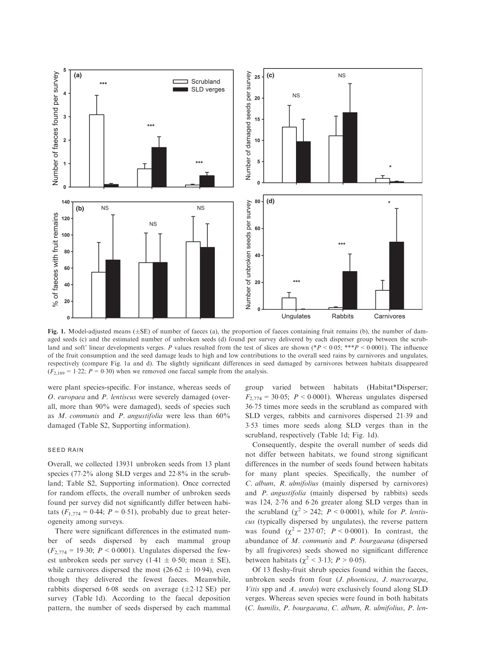

Fig. 1. Model-adjusted means  $(\pm SE)$  of number of faeces (a), the proportion of faeces containing fruit remains (b), the number of damaged seeds (c) and the estimated number of unbroken seeds (d) found per survey delivered by each disperser group between the scrubland and soft' linear developments verges. P values resulted from the test of slices are shown (\*P < 0.05; \*\*\*P < 0.0001). The influence of the fruit consumption and the seed damage leads to high and low contributions to the overall seed rains by carnivores and ungulates, respectively (compare Fig. 1a and d). The slightly significant differences in seed damaged by carnivores between habitats disappeared  $(F_{2,189} = 1.22; P = 0.30)$  when we removed one faecal sample from the analysis.

were plant species-specific. For instance, whereas seeds of O. europaea and P. lentiscus were severely damaged (overall, more than 90% were damaged), seeds of species such as M. communis and P. angustifolia were less than  $60\%$ damaged (Table S2, Supporting information).

#### SEED RAIN

Overall, we collected 13931 unbroken seeds from 13 plant species (77.2% along SLD verges and 22.8% in the scrubland; Table S2, Supporting information). Once corrected for random effects, the overall number of unbroken seeds found per survey did not significantly differ between habitats  $(F_{1,774} = 0.44; P = 0.51)$ , probably due to great heterogeneity among surveys.

There were significant differences in the estimated number of seeds dispersed by each mammal group  $(F_{2,774} = 19.30; P \le 0.0001)$ . Ungulates dispersed the fewest unbroken seeds per survey (1.41  $\pm$  0.50; mean  $\pm$  SE), while carnivores dispersed the most  $(26.62 \pm 10.94)$ , even though they delivered the fewest faeces. Meanwhile, rabbits dispersed 6.08 seeds on average  $(\pm 2.12 \text{ SE})$  per survey (Table 1d). According to the faecal deposition pattern, the number of seeds dispersed by each mammal group varied between habitats (Habitat\*Disperser;  $F_{2,774} = 30.05$ ;  $P \le 0.0001$ ). Whereas ungulates dispersed 3675 times more seeds in the scrubland as compared with SLD verges, rabbits and carnivores dispersed 2139 and 353 times more seeds along SLD verges than in the scrubland, respectively (Table 1d; Fig. 1d).

Consequently, despite the overall number of seeds did not differ between habitats, we found strong significant differences in the number of seeds found between habitats for many plant species. Specifically, the number of C. album, R. ulmifolius (mainly dispersed by carnivores) and P. angustifolia (mainly dispersed by rabbits) seeds was 124, 276 and 626 greater along SLD verges than in the scrubland ( $\chi^2 > 242$ ;  $P < 0.0001$ ), while for *P. lentis*cus (typically dispersed by ungulates), the reverse pattern was found  $(\chi^2 = 237.07; P < 0.0001)$ . In contrast, the abundance of M. communis and P. bourgaeana (dispersed by all frugivores) seeds showed no significant difference between habitats ( $\chi^2$  < 3.13; *P* > 0.05).

Of 13 fleshy-fruit shrub species found within the faeces, unbroken seeds from four (J. phoenicea, J. macrocarpa, Vitis spp and A. unedo) were exclusively found along SLD verges. Whereas seven species were found in both habitats (C. humilis, P. bourgaeana, C. album, R. ulmifolius, P. len-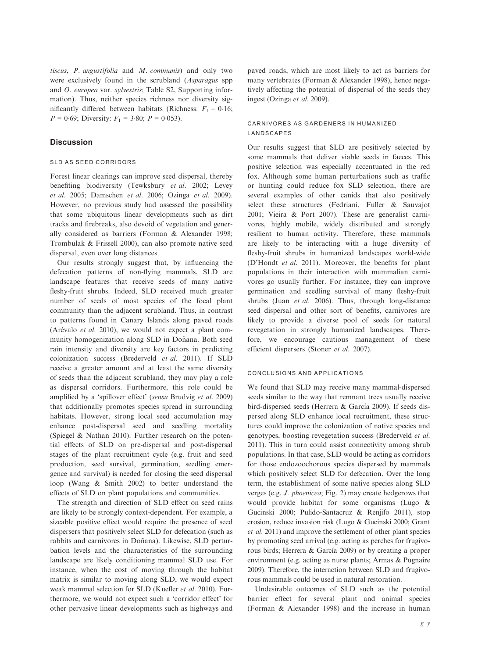tiscus, P. angustifolia and M. communis) and only two were exclusively found in the scrubland (Asparagus spp and O. europea var. sylvestris; Table S2, Supporting information). Thus, neither species richness nor diversity significantly differed between habitats (Richness:  $F_1 = 0.16$ ;  $P = 0.69$ ; Diversity:  $F_1 = 3.80$ ;  $P = 0.053$ ).

## **Discussion**

#### SLD AS SEED CORRIDORS

Forest linear clearings can improve seed dispersal, thereby benefiting biodiversity (Tewksbury et al. 2002; Levey et al. 2005; Damschen et al. 2006; Ozinga et al. 2009). However, no previous study had assessed the possibility that some ubiquitous linear developments such as dirt tracks and firebreaks, also devoid of vegetation and generally considered as barriers (Forman & Alexander 1998; Trombulak & Frissell 2000), can also promote native seed dispersal, even over long distances.

Our results strongly suggest that, by influencing the defecation patterns of non-flying mammals, SLD are landscape features that receive seeds of many native fleshy-fruit shrubs. Indeed, SLD received much greater number of seeds of most species of the focal plant community than the adjacent scrubland. Thus, in contrast to patterns found in Canary Islands along paved roads (Arévalo et al. 2010), we would not expect a plant community homogenization along SLD in Doñana. Both seed rain intensity and diversity are key factors in predicting colonization success (Brederveld et al. 2011). If SLD receive a greater amount and at least the same diversity of seeds than the adjacent scrubland, they may play a role as dispersal corridors. Furthermore, this role could be amplified by a 'spillover effect' (sensu Brudvig et al. 2009) that additionally promotes species spread in surrounding habitats. However, strong local seed accumulation may enhance post-dispersal seed and seedling mortality (Spiegel & Nathan 2010). Further research on the potential effects of SLD on pre-dispersal and post-dispersal stages of the plant recruitment cycle (e.g. fruit and seed production, seed survival, germination, seedling emergence and survival) is needed for closing the seed dispersal loop (Wang & Smith 2002) to better understand the effects of SLD on plant populations and communities.

The strength and direction of SLD effect on seed rains are likely to be strongly context-dependent. For example, a sizeable positive effect would require the presence of seed dispersers that positively select SLD for defecation (such as rabbits and carnivores in Doñana). Likewise, SLD perturbation levels and the characteristics of the surrounding landscape are likely conditioning mammal SLD use. For instance, when the cost of moving through the habitat matrix is similar to moving along SLD, we would expect weak mammal selection for SLD (Kuefler et al. 2010). Furthermore, we would not expect such a 'corridor effect' for other pervasive linear developments such as highways and paved roads, which are most likely to act as barriers for many vertebrates (Forman & Alexander 1998), hence negatively affecting the potential of dispersal of the seeds they ingest (Ozinga et al. 2009).

## CARNIVORES AS GARDENERS IN HUMANIZED **LANDSCAPES**

Our results suggest that SLD are positively selected by some mammals that deliver viable seeds in faeces. This positive selection was especially accentuated in the red fox. Although some human perturbations such as traffic or hunting could reduce fox SLD selection, there are several examples of other canids that also positively select these structures (Fedriani, Fuller & Sauvajot 2001; Vieira & Port 2007). These are generalist carnivores, highly mobile, widely distributed and strongly resilient to human activity. Therefore, these mammals are likely to be interacting with a huge diversity of fleshy-fruit shrubs in humanized landscapes world-wide (D'Hondt et al. 2011). Moreover, the benefits for plant populations in their interaction with mammalian carnivores go usually further. For instance, they can improve germination and seedling survival of many fleshy-fruit shrubs (Juan et al. 2006). Thus, through long-distance seed dispersal and other sort of benefits, carnivores are likely to provide a diverse pool of seeds for natural revegetation in strongly humanized landscapes. Therefore, we encourage cautious management of these efficient dispersers (Stoner et al. 2007).

## CONCLUSIONS AND APPLICATIONS

We found that SLD may receive many mammal-dispersed seeds similar to the way that remnant trees usually receive bird-dispersed seeds (Herrera & García 2009). If seeds dispersed along SLD enhance local recruitment, these structures could improve the colonization of native species and genotypes, boosting revegetation success (Brederveld et al. 2011). This in turn could assist connectivity among shrub populations. In that case, SLD would be acting as corridors for those endozoochorous species dispersed by mammals which positively select SLD for defecation. Over the long term, the establishment of some native species along SLD verges (e.g. J. phoenicea; Fig. 2) may create hedgerows that would provide habitat for some organisms (Lugo & Gucinski 2000; Pulido-Santacruz & Renjifo 2011), stop erosion, reduce invasion risk (Lugo & Gucinski 2000; Grant et al. 2011) and improve the settlement of other plant species by promoting seed arrival (e.g. acting as perches for frugivorous birds; Herrera & García 2009) or by creating a proper environment (e.g. acting as nurse plants; Armas & Pugnaire 2009). Therefore, the interaction between SLD and frugivorous mammals could be used in natural restoration.

Undesirable outcomes of SLD such as the potential barrier effect for several plant and animal species (Forman & Alexander 1998) and the increase in human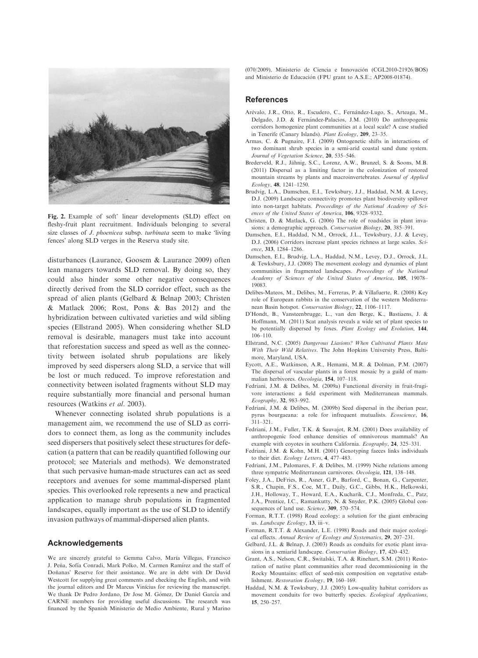

Fig. 2. Example of soft' linear developments (SLD) effect on fleshy-fruit plant recruitment. Individuals belonging to several size classes of *J. phoenicea* subsp. turbinata seem to make 'living fences' along SLD verges in the Reserva study site.

disturbances (Laurance, Goosem & Laurance 2009) often lean managers towards SLD removal. By doing so, they could also hinder some other negative consequences directly derived from the SLD corridor effect, such as the spread of alien plants (Gelbard & Belnap 2003; Christen & Matlack 2006; Rost, Pons & Bas 2012) and the hybridization between cultivated varieties and wild sibling species (Ellstrand 2005). When considering whether SLD removal is desirable, managers must take into account that reforestation success and speed as well as the connectivity between isolated shrub populations are likely improved by seed dispersers along SLD, a service that will be lost or much reduced. To improve reforestation and connectivity between isolated fragments without SLD may require substantially more financial and personal human resources (Watkins et al. 2003).

Whenever connecting isolated shrub populations is a management aim, we recommend the use of SLD as corridors to connect them, as long as the community includes seed dispersers that positively select these structures for defecation (a pattern that can be readily quantified following our protocol; see Materials and methods). We demonstrated that such pervasive human-made structures can act as seed receptors and avenues for some mammal-dispersed plant species. This overlooked role represents a new and practical application to manage shrub populations in fragmented landscapes, equally important as the use of SLD to identify invasion pathways of mammal-dispersed alien plants.

#### Acknowledgements

We are sincerely grateful to Gemma Calvo, María Villegas, Francisco J. Peña, Sofía Conradi, Mark Polko, M. Carmen Ramírez and the staff of Doñanas' Reserve for their assistance. We are in debt with Dr David Westcott for supplying great comments and checking the English, and with the journal editors and Dr Marcus Vinícius for reviewing the manuscript. We thank Dr Pedro Jordano, Dr Jose M. Gómez, Dr Daniel García and CARNE members for providing useful discussions. The research was financed by the Spanish Ministerio de Medio Ambiente, Rural y Marino (070/2009), Ministerio de Ciencia e Innovacion (CGL2010-21926/BOS) and Ministerio de Educacion (FPU grant to A.S.E.; AP2008-01874).

## References

- Arévalo, J.R., Otto, R., Escudero, C., Fernández-Lugo, S., Arteaga, M., Delgado, J.D. & Fernández-Palacios, J.M. (2010) Do anthropogenic corridors homogenize plant communities at a local scale? A case studied in Tenerife (Canary Islands). Plant Ecology, 209, 23–35.
- Armas, C. & Pugnaire, F.I. (2009) Ontogenetic shifts in interactions of two dominant shrub species in a semi-arid coastal sand dune system. Journal of Vegetation Science, 20, <sup>535</sup>–546.
- Brederveld, R.J., Jähnig, S.C., Lorenz, A.W., Brunzel, S. & Soons, M.B. (2011) Dispersal as a limiting factor in the colonization of restored mountain streams by plants and macroinvertebrates. Journal of Applied
- Ecology, 48, <sup>1241</sup>–1250. Brudvig, L.A., Damschen, E.I., Tewksbury, J.J., Haddad, N.M. & Levey, D.J. (2009) Landscape connectivity promotes plant biodiversity spillover into non-target habitats. Proceedings of the National Academy of Sci-
- ences of the United States of America, **106**, 9328–9332.<br>Christen, D. & Matlack, G. (2006) The role of roadsides in plant invasions: <sup>a</sup> demographic approach. Conservation Biology, 20, <sup>385</sup>–391.
- Damschen, E.I., Haddad, N.M., Orrock, J.L., Tewksbury, J.J. & Levey, D.J. (2006) Corridors increase plant species richness at large scales. Sci-
- ence, 313, 1284-1286.<br>Damschen, E.I., Brudvig, L.A., Haddad, N.M., Levey, D.J., Orrock, J.L. & Tewksbury, J.J. (2008) The movement ecology and dynamics of plant communities in fragmented landscapes. Proceedings of the National Academy of Sciences of the United States of America, 105, <sup>19078</sup>– 19083.
- Delibes-Mateos, M., Delibes, M., Ferreras, P. & Villafuerte, R. (2008) Key role of European rabbits in the conservation of the western Mediterranean Basin hotspot. Conservation Biology, 22, <sup>1106</sup>–1117.
- D'Hondt, B., Vansteenbrugge, L., van den Berge, K., Bastiaens, J. & Hoffmann, M. (2011) Scat analysis reveals a wide set of plant species to be potentially dispersed by foxes. Plant Ecology and Evolution, 144, 106–110.
- Ellstrand, N.C. (2005) Dangerous Liasions? When Cultivated Plants Mate With Their Wild Relatives. The John Hopkins University Press, Baltimore, Maryland, USA.
- Eycott, A.E., Watkinson, A.R., Hemami, M.R. & Dolman, P.M. (2007) The dispersal of vascular plants in a forest mosaic by a guild of mammalian herbivores. Oecologia, 154, <sup>107</sup>–118.
- Fedriani, J.M. & Delibes, M. (2009a) Functional diversity in fruit-frugivore interactions: a field experiment with Mediterranean mammals. Ecography, 32, <sup>983</sup>–992.
- Fedriani, J.M. & Delibes, M. (2009b) Seed dispersal in the iberian pear, pyrus bourgaeana: <sup>a</sup> role for infrequent mutualists. Ecoscience, 16, 311–321.
- Fedriani, J.M., Fuller, T.K. & Sauvajot, R.M. (2001) Does availability of anthropogenic food enhance densities of omnivorous mammals? An example with coyotes in southern California. Ecography, 24, <sup>325</sup>–331.
- Fedriani, J.M. & Kohn, M.H. (2001) Genotyping faeces links individuals to their diet. Ecology Letters, 4, <sup>477</sup>–483.
- Fedriani, J.M., Palomares, F. & Delibes, M. (1999) Niche relations among three sympatric Mediterranean carnivores. Oecologia, 121, <sup>138</sup>–148.
- Foley, J.A., DeFries, R., Asner, G.P., Barford, C., Bonan, G., Carpenter, S.R., Chapin, F.S., Coe, M.T., Daily, G.C., Gibbs, H.K., Helkowski, J.H., Holloway, T., Howard, E.A., Kucharik, C.J., Monfreda, C., Patz, J.A., Prentice, I.C., Ramankutty, N. & Snyder, P.K. (2005) Global consequences of land use. Science, 309, 570-574.
- Forman, R.T.T. (1998) Road ecology: a solution for the giant embracing us. Landscape Ecology, 13, iii–v.
- Forman, R.T.T. & Alexander, L.E. (1998) Roads and their major ecological effects. Annual Review of Ecology and Systematics, 29, <sup>207</sup>–231.
- Gelbard, J.L. & Belnap, J. (2003) Roads as conduits for exotic plant invasions in <sup>a</sup> semiarid landscape. Conservation Biology, 17, <sup>420</sup>–432.
- Grant, A.S., Nelson, C.R., Switalski, T.A. & Rinehart, S.M. (2011) Restoration of native plant communities after road decommissioning in the Rocky Mountains: effect of seed-mix composition on vegetative establishment. Restoration Ecology, 19, <sup>160</sup>–169.
- Haddad, N.M. & Tewksbury, J.J. (2005) Low-quality habitat corridors as movement conduits for two butterfly species. Ecological Applications, 15, <sup>250</sup>–257.